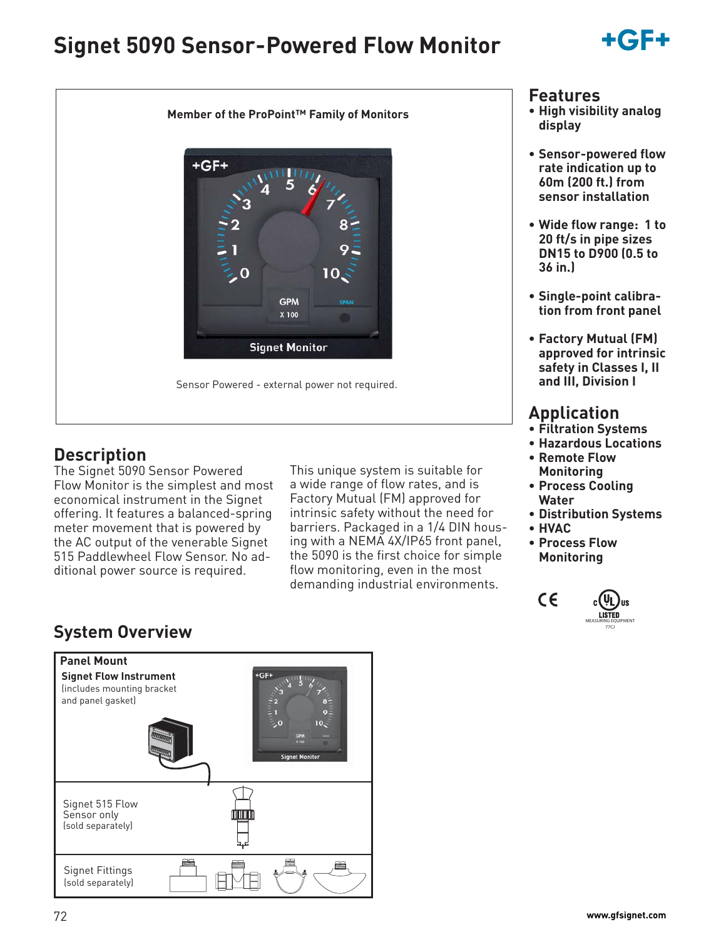# **Signet 5090 Sensor-Powered Flow Monitor**





### **Description**

The Signet 5090 Sensor Powered Flow Monitor is the simplest and most economical instrument in the Signet offering. It features a balanced-spring meter movement that is powered by the AC output of the venerable Signet 515 Paddlewheel Flow Sensor. No additional power source is required.

This unique system is suitable for a wide range of flow rates, and is Factory Mutual (FM) approved for intrinsic safety without the need for barriers. Packaged in a 1/4 DIN housing with a NEMA 4X/IP65 front panel, the 5090 is the first choice for simple flow monitoring, even in the most demanding industrial environments.

#### **Features**

- **High visibility analog display**
- **Sensor-powered flow rate indication up to 60m (200 ft.) from sensor installation**
- **Wide flow range: 1 to 20 ft/s in pipe sizes DN15 to D900 (0.5 to 36 in.)**
- **Single-point calibration from front panel**
- **Factory Mutual (FM) approved for intrinsic safety in Classes I, II and III, Division I**

## **Application**

- **Filtration Systems**
- **Hazardous Locations**
- **Remote Flow Monitoring**
- **Process Cooling Water**
- **Distribution Systems**
- **HVAC**
- **Process Flow**
- **Monitoring**



## **System Overview**